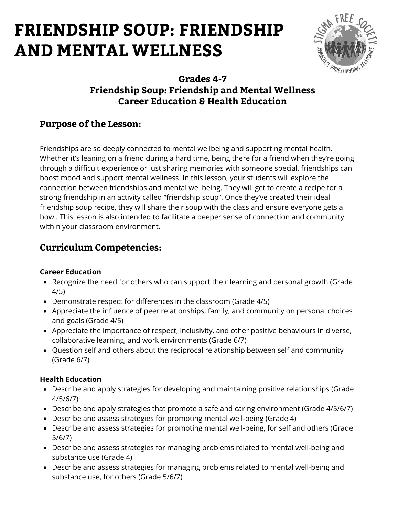

### **Grades 4-7 Friendship Soup: Friendship and Mental Wellness Career Education & Health Education**

## **Purpose of the Lesson:**

Friendships are so deeply connected to mental wellbeing and supporting mental health. Whether it's leaning on a friend during a hard time, being there for a friend when they're going through a difficult experience or just sharing memories with someone special, friendships can boost mood and support mental wellness. In this lesson, your students will explore the connection between friendships and mental wellbeing. They will get to create a recipe for a strong friendship in an activity called "friendship soup". Once they've created their ideal friendship soup recipe, they will share their soup with the class and ensure everyone gets a bowl. This lesson is also intended to facilitate a deeper sense of connection and community within your classroom environment.

## **Curriculum Competencies:**

#### **Career Education**

- Recognize the need for others who can support their learning and personal growth (Grade 4/5)
- Demonstrate respect for differences in the classroom (Grade 4/5)
- Appreciate the influence of peer relationships, family, and community on personal choices and goals (Grade 4/5)
- Appreciate the importance of respect, inclusivity, and other positive behaviours in diverse, collaborative learning, and work environments (Grade 6/7)
- Question self and others about the reciprocal relationship between self and community (Grade 6/7)

#### **Health Education**

- Describe and apply strategies for developing and maintaining positive relationships (Grade 4/5/6/7)
- Describe and apply strategies that promote a safe and caring environment (Grade 4/5/6/7)
- Describe and assess strategies for promoting mental well-being (Grade 4)
- Describe and assess strategies for promoting mental well-being, for self and others (Grade 5/6/7)
- Describe and assess strategies for managing problems related to mental well-being and substance use (Grade 4)
- Describe and assess strategies for managing problems related to mental well-being and substance use, for others (Grade 5/6/7)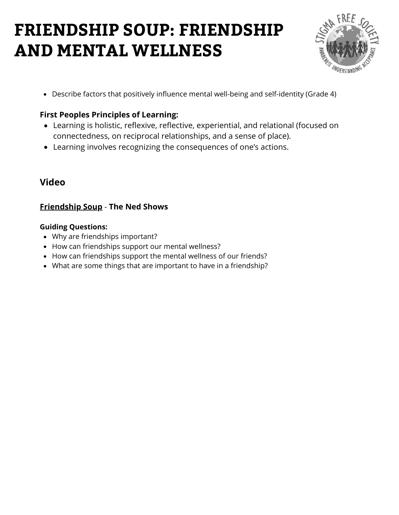

Describe factors that positively influence mental well-being and self-identity (Grade 4)

### **First Peoples Principles of Learning:**

- Learning is holistic, reflexive, reflective, experiential, and relational (focused on connectedness, on reciprocal relationships, and a sense of place).
- Learning involves recognizing the consequences of one's actions.

## **Video**

#### **[Friendship Soup](https://www.youtube.com/watch?v=2wCbwpnIJsA)** [-](https://www.youtube.com/watch?v=MbmLNr89L-A) **[The N](https://www.youtube.com/watch?v=MbmLNr89L-A)ed Shows**

#### **Guiding Questions:**

- Why are friendships important?
- How can friendships support our mental wellness?
- How can friendships support the mental wellness of our friends?
- What are some things that are important to have in a friendship?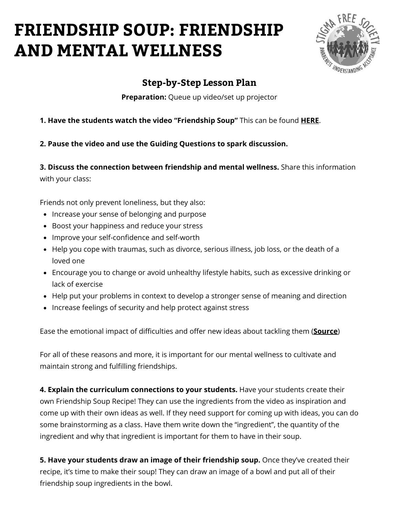

### **Step-by-Step Lesson Plan**

**Preparation:** Queue up video/set up projector

#### **1. Have the students watch the video "Friendship Soup"** This can be found **[HERE](https://www.youtube.com/watch?v=H7w7yXkJTu0)**.

**2. Pause the video and use the Guiding Questions to spark discussion.**

**3. Discuss the connection between friendship and mental wellness.** Share this information with your class:

Friends not only prevent loneliness, but they also:

- Increase your sense of belonging and purpose
- Boost your happiness and reduce your stress
- Improve your self-confidence and self-worth
- Help you cope with traumas, such as divorce, serious illness, job loss, or the death of a loved one
- Encourage you to change or avoid unhealthy lifestyle habits, such as excessive drinking or lack of exercise
- Help put your problems in context to develop a stronger sense of meaning and direction
- Increase feelings of security and help protect against stress

Ease the emotional impact of difficulties and offer new ideas about tackling them (**[Source](https://www.webmd.com/mental-health/psychological-benefits-of-friendship)**)

For all of these reasons and more, it is important for our mental wellness to cultivate and maintain strong and fulfilling friendships.

**4. Explain the curriculum connections to your students.** Have your students create their own Friendship Soup Recipe! They can use the ingredients from the video as inspiration and come up with their own ideas as well. If they need support for coming up with ideas, you can do some brainstorming as a class. Have them write down the "ingredient", the quantity of the ingredient and why that ingredient is important for them to have in their soup.

**5. Have your students draw an image of their friendship soup.** Once they've created their recipe, it's time to make their soup! They can draw an image of a bowl and put all of their friendship soup ingredients in the bowl.